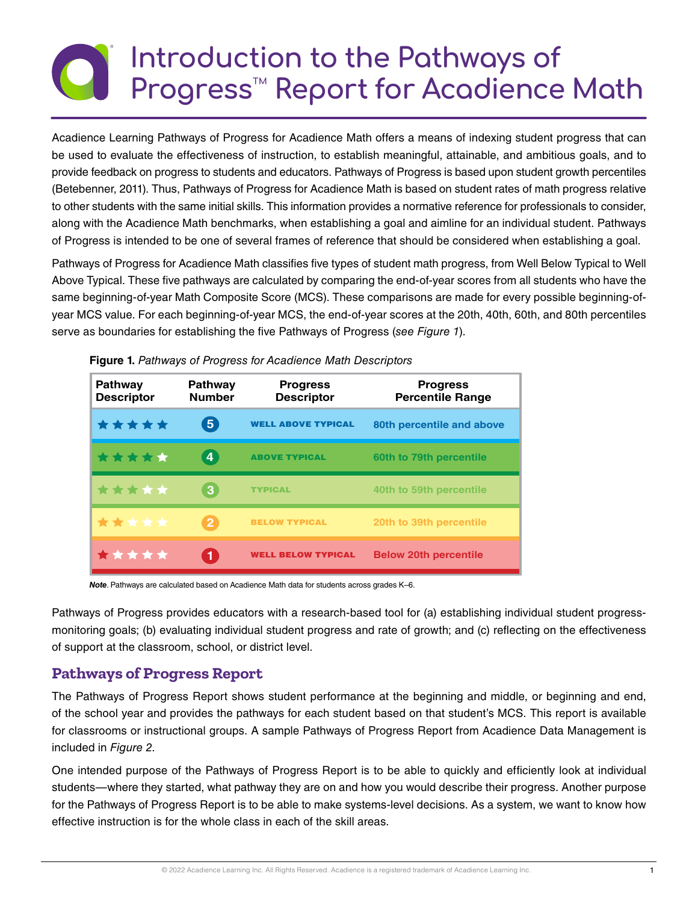# **Introduction to the Pathways of Progress™ Report for Acadience Math**

Acadience Learning Pathways of Progress for Acadience Math offers a means of indexing student progress that can be used to evaluate the effectiveness of instruction, to establish meaningful, attainable, and ambitious goals, and to provide feedback on progress to students and educators. Pathways of Progress is based upon student growth percentiles (Betebenner, 2011). Thus, Pathways of Progress for Acadience Math is based on student rates of math progress relative to other students with the same initial skills. This information provides a normative reference for professionals to consider, along with the Acadience Math benchmarks, when establishing a goal and aimline for an individual student. Pathways of Progress is intended to be one of several frames of reference that should be considered when establishing a goal.

Pathways of Progress for Acadience Math classifies five types of student math progress, from Well Below Typical to Well Above Typical. These five pathways are calculated by comparing the end-of-year scores from all students who have the same beginning-of-year Math Composite Score (MCS). These comparisons are made for every possible beginning-ofyear MCS value. For each beginning-of-year MCS, the end-of-year scores at the 20th, 40th, 60th, and 80th percentiles serve as boundaries for establishing the five Pathways of Progress (*see Figure 1*).

| <b>Pathway</b><br><b>Descriptor</b> | <b>Pathway</b><br><b>Number</b> | <b>Progress</b><br><b>Descriptor</b> | <b>Progress</b><br><b>Percentile Range</b> |
|-------------------------------------|---------------------------------|--------------------------------------|--------------------------------------------|
| *****                               | $\boxed{5}$                     | <b>WELL ABOVE TYPICAL</b>            | 80th percentile and above                  |
| *****                               | LY                              | <b>ABOVE TYPICAL</b>                 | 60th to 79th percentile                    |
| *****                               | 3                               | <b>TYPICAL</b>                       | 40th to 59th percentile                    |
| *****                               | $\overline{2}$                  | <b>BELOW TYPICAL</b>                 | 20th to 39th percentile                    |
| *****                               |                                 | <b>WELL BELOW TYPICAL</b>            | <b>Below 20th percentile</b>               |

**Figure 1.** *Pathways of Progress for Acadience Math Descriptors*

*Note*. Pathways are calculated based on Acadience Math data for students across grades K–6.

Pathways of Progress provides educators with a research-based tool for (a) establishing individual student progressmonitoring goals; (b) evaluating individual student progress and rate of growth; and (c) reflecting on the effectiveness of support at the classroom, school, or district level.

#### **Pathways of Progress Report**

The Pathways of Progress Report shows student performance at the beginning and middle, or beginning and end, of the school year and provides the pathways for each student based on that student's MCS. This report is available for classrooms or instructional groups. A sample Pathways of Progress Report from Acadience Data Management is included in *Figure 2*.

One intended purpose of the Pathways of Progress Report is to be able to quickly and efficiently look at individual students—where they started, what pathway they are on and how you would describe their progress. Another purpose for the Pathways of Progress Report is to be able to make systems-level decisions. As a system, we want to know how effective instruction is for the whole class in each of the skill areas.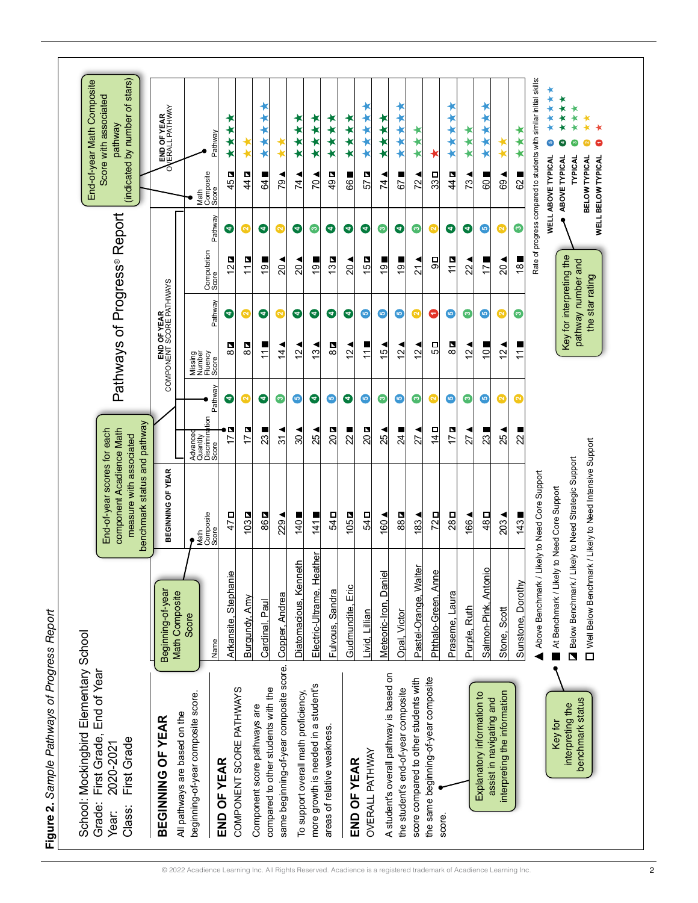|                                              | End-of-year Math Composite            | stars)<br>Score with associated<br>đ<br>(indicated by number<br>pathway                                            | END OF YEAR<br>ERALL PATHWAY<br>Ō                 | Pathway<br>Composite<br>Score<br>Math           | ×<br>$\star$<br>45 <b>Q</b> | ♦<br>44 <b>a</b>         | ⊀<br>64                                                             | ത<br>Ľ                                  | ∗<br>74                              | ∗<br>$\bigstar$<br>20                | ∗<br>$\star$<br>$\star$<br>$\bigstar$<br>49 <b>D</b> | ⊀<br>***<br>ш<br>66 | ****<br>Z<br>57        | ***<br>74                               | $\bigstar$<br>$\star$<br>57         | ★<br>∗<br>72                          | $33\Box$                                      | ۰<br>×<br>44                   | ∗<br>$\star$<br>73                  | ★<br>¥<br>×<br>¥<br>$rac{1}{2}$                        | **<br>69                     | $\star$<br>$62\blacksquare$    | Rate of progress compared to students with similar initial skills | ∗<br>$\star$<br>$\star$<br>o<br><b>WELL ABOVE TYPICAL</b> | ∗<br>ABOVE TYPICAL       | ∗<br>∗<br><b>TYPICAL</b><br>BELOW TYPICAL<br><b>WELL BELOW TYPICAL</b>       |  |
|----------------------------------------------|---------------------------------------|--------------------------------------------------------------------------------------------------------------------|---------------------------------------------------|-------------------------------------------------|-----------------------------|--------------------------|---------------------------------------------------------------------|-----------------------------------------|--------------------------------------|--------------------------------------|------------------------------------------------------|---------------------|------------------------|-----------------------------------------|-------------------------------------|---------------------------------------|-----------------------------------------------|--------------------------------|-------------------------------------|--------------------------------------------------------|------------------------------|--------------------------------|-------------------------------------------------------------------|-----------------------------------------------------------|--------------------------|------------------------------------------------------------------------------|--|
|                                              |                                       |                                                                                                                    |                                                   | Pathway                                         | ●                           | $\bullet$                | €                                                                   | $\overline{\mathsf{c}}$                 | Θ                                    | ဇ                                    | €                                                    | €                   | Θ                      | Ω                                       | Θ                                   | ◙                                     | $\overline{\mathbf{C}}$                       | €                              | €                                   | ©                                                      | $\bullet$                    | ◙                              |                                                                   |                                                           |                          |                                                                              |  |
|                                              |                                       |                                                                                                                    |                                                   | Computation<br>Score                            | $\overline{2}$              | 111                      | თ                                                                   | $\overline{20}$                         | 20                                   | თ<br>٢                               | $3\blacksquare$<br>$\overline{ }$                    | 20                  | N<br>$\overline{15}$   | თ<br>$\overline{ }$                     | တ                                   | $\overline{21}$                       | 口<br>ω                                        | 11 <b>d</b>                    | 22                                  | 17                                                     | 20                           | 18 <sub>l</sub>                |                                                                   |                                                           |                          |                                                                              |  |
|                                              |                                       |                                                                                                                    | OF YEAR<br>SCORE PATHWAYS                         | Pathway                                         | ☉                           | $\bullet$                | €                                                                   | $\overline{\mathbf{C}}$                 | Θ                                    | €                                    | 匂                                                    | Θ                   | ⊕                      | O                                       | ©                                   | $\bullet$                             | 9                                             | O                              | Ω                                   | O                                                      | $\bullet$                    | ဇ                              |                                                                   |                                                           | Key for interpreting the | pathway number and<br>the star rating                                        |  |
|                                              |                                       | Pathways of Progress <sup>®</sup> Report                                                                           | COMPONENT                                         | Missing<br>Number<br>Fluency<br>Score           | N<br>8                      | N<br>$\infty$            | $\stackrel{\textstyle\textstyle\sim}{\textstyle\textstyle\sim}$     | 4                                       | $\mathbf{\Omega}$                    | ო                                    | <u>N</u><br>$\infty$                                 | $\mathbf{\Omega}$   | $\overline{1}$         | 45                                      | 2                                   | $\sim$                                | ΓS                                            | P<br>$\infty$                  | $\mathbf{\Omega}$<br>$\overline{ }$ | $\overline{C}$                                         | $\frac{2}{3}$                | ш<br>$\overline{\mathbf{r}}$   |                                                                   |                                                           |                          |                                                                              |  |
|                                              |                                       |                                                                                                                    |                                                   | Pathway                                         | €                           | $\overline{\mathsf{S}}$  | Θ                                                                   | (က                                      | $\boldsymbol{\bm{\omega}}$           | Θ                                    | ©                                                    | €                   | $\bullet$              | ဇ                                       | $\bf \bm \odot$                     | ဇ                                     | $\overline{\mathbf{C}}$                       | ø                              | Ø                                   | ©                                                      | Ø                            | Ø                              |                                                                   |                                                           |                          |                                                                              |  |
|                                              |                                       |                                                                                                                    |                                                   | Advanced<br>Quantity<br>Discrimination<br>Score | P<br>$\overline{1}$         | 17 <sub>2</sub>          | 23                                                                  | $\frac{2}{3}$                           | 30                                   | ◀<br>25                              | 20Q                                                  | ш<br>22             | 20 <b>a</b>            | 25                                      | 24                                  | 27                                    | O<br>$\frac{4}{1}$                            | $\overline{\phantom{a}}$<br>17 | 27                                  | ш<br>23                                                | 25                           | $\overline{\phantom{a}}$<br>22 |                                                                   |                                                           |                          |                                                                              |  |
|                                              |                                       | benchmark status and pathway<br>End-of-year scores for each<br>component Acadience Math<br>measure with associated | BEGINNING OF YEAR                                 | Math<br>Composite<br>Score                      | 47 <sub>D</sub>             | 103 <b>D</b>             | 86 <b>a</b>                                                         | 229                                     | 140                                  | ш<br>141                             | 54 <sub>D</sub>                                      | 105 <b>D</b>        | 54 <sub>D</sub>        | 160                                     | 88 <b>a</b>                         | 83                                    | 72D                                           | 28D                            | 166                                 | 48 <sub>D</sub>                                        | 203                          | 143                            | Likely to Need Core Support                                       |                                                           |                          | Likely to Need Strategic Support                                             |  |
|                                              |                                       |                                                                                                                    | Beginning-of-year<br><b>Math Composite</b>        | Score<br>Name                                   | Ф<br>Arkansite, Stephani    | Burgundy, Amy            | Cardinal, Paul                                                      | Copper, Andrea                          | Diatomacious, Kenneth                | eather<br>Electric-Ultrame, He       | Fulvous, Sandra                                      | Gudmundite, Eric    | Livid, Lillian         | Meteoric-Iron, Daniel                   | Opal, Victor                        | Pastel-Orange, Walter                 | $\overline{\mathbf{e}}$<br>Phthalo-Green, Ann | Praseme, Laura                 | Purple, Ruth                        | Salmon-Pink, Antonio                                   | Stone, Scott                 | Sunstone, Dorothy              | Above Benchmark /                                                 | At Benchmark / Likely to Need Core Support                |                          | Well Below Benchmark / Likely to Need Intensive Support<br>Below Benchmark / |  |
| Figure 2. Sample Pathways of Progress Report | School: Mockingbird Elementary School | Grade: First Grade, End of Year<br>First Grade<br>2020-2021<br>Class:<br>Year:                                     | All pathways are based on the<br>BEGINNNG OF YEAR | beginning-of-year composite score.              | END OF YEAR                 | COMPONENT SCORE PATHWAYS | compared to other students with the<br>Component score pathways are | same beginning-of-year composite score. | To support overall math proficiency, | more growth is needed in a student's | areas of relative weakness.                          | END OF YEAR         | <b>OVERALL PATHWAY</b> | A student's overall pathway is based on | the student's end-of-year composite | score compared to other students with | the same beginning-of-year composite          | score                          |                                     | Explanatory information to<br>assist in navigating and | interpreting the information |                                |                                                                   | Key for                                                   | interpreting the         | benchmark status                                                             |  |

 $\Gamma$ 

٦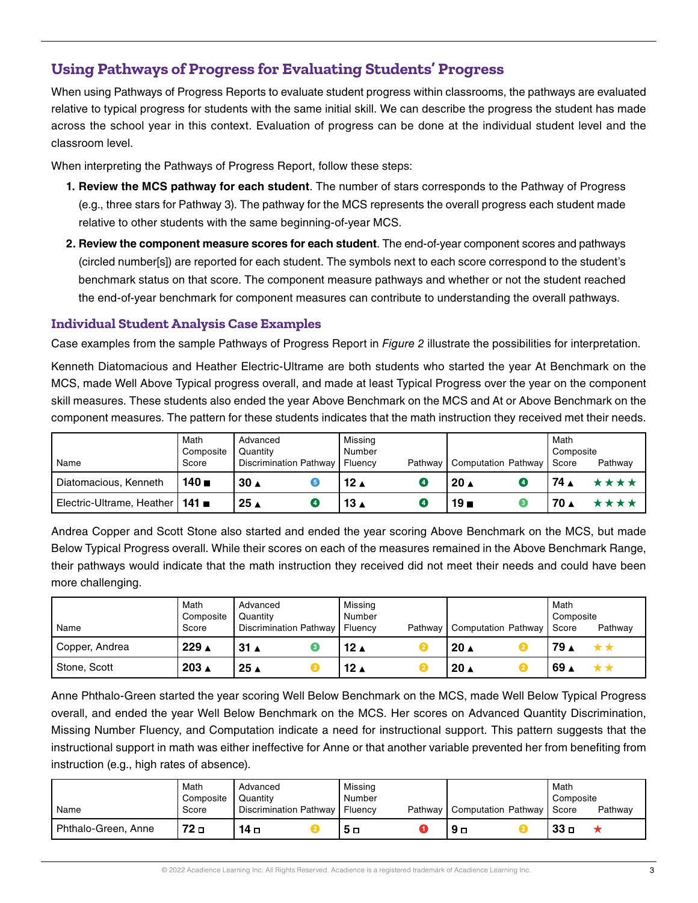# **Using Pathways of Progress for Evaluating Students' Progress**

When using Pathways of Progress Reports to evaluate student progress within classrooms, the pathways are evaluated relative to typical progress for students with the same initial skill. We can describe the progress the student has made across the school year in this context. Evaluation of progress can be done at the individual student level and the classroom level.

When interpreting the Pathways of Progress Report, follow these steps:

- **1. Review the MCS pathway for each student**. The number of stars corresponds to the Pathway of Progress (e.g., three stars for Pathway 3). The pathway for the MCS represents the overall progress each student made relative to other students with the same beginning-of-year MCS.
- **2. Review the component measure scores for each student**. The end-of-year component scores and pathways (circled number[s]) are reported for each student. The symbols next to each score correspond to the student's benchmark status on that score. The component measure pathways and whether or not the student reached the end-of-year benchmark for component measures can contribute to understanding the overall pathways.

#### **Individual Student Analysis Case Examples**

Case examples from the sample Pathways of Progress Report in *Figure 2* illustrate the possibilities for interpretation.

Kenneth Diatomacious and Heather Electric-Ultrame are both students who started the year At Benchmark on the MCS, made Well Above Typical progress overall, and made at least Typical Progress over the year on the component skill measures. These students also ended the year Above Benchmark on the MCS and At or Above Benchmark on the component measures. The pattern for these students indicates that the math instruction they received met their needs.

|                                   | Math<br>Composite    | Advanced<br>Quantity          | Missing<br>Number  |                             | Math<br>Composite |
|-----------------------------------|----------------------|-------------------------------|--------------------|-----------------------------|-------------------|
| Name                              | Score                | <b>Discrimination Pathway</b> | Fluency<br>Pathway | Computation Pathway   Score | Pathway           |
| Diatomacious, Kenneth             | $140$ $\blacksquare$ | 30 <sub>A</sub>               | 12 $\triangle$     | $20 \triangle$              | 74 ▲              |
| Electric-Ultrame, Heather   141 ■ |                      | 25 ▲                          | ∡ 13               | 19 <sub>m</sub>             | 70 ▲              |

Andrea Copper and Scott Stone also started and ended the year scoring Above Benchmark on the MCS, but made Below Typical Progress overall. While their scores on each of the measures remained in the Above Benchmark Range, their pathways would indicate that the math instruction they received did not meet their needs and could have been more challenging.

| Name                        | Math<br>Composite<br>Score | Advanced<br>Quantity<br>Discrimination Pathway   Fluency | Missing<br>Number | Pathway   Computation Pathway | Math<br>Composite<br>I Score | Pathway |
|-----------------------------|----------------------------|----------------------------------------------------------|-------------------|-------------------------------|------------------------------|---------|
| <sup>1</sup> Copper, Andrea | 229 ▲                      | $31 \triangle$                                           | 12 $\triangle$    | $20 \triangle$                | ⊿ 79                         |         |
| Stone, Scott                | $203 \triangle$            | $25 \triangle$                                           | 12 $\triangle$    | $20 \triangle$                | ່ 69 ∡                       |         |

Anne Phthalo-Green started the year scoring Well Below Benchmark on the MCS, made Well Below Typical Progress overall, and ended the year Well Below Benchmark on the MCS. Her scores on Advanced Quantity Discrimination, Missing Number Fluency, and Computation indicate a need for instructional support. This pattern suggests that the instructional support in math was either ineffective for Anne or that another variable prevented her from benefiting from instruction (e.g., high rates of absence).

| Name                | Math<br>Composite<br>Score | Advanced<br>Quantity<br>Discrimination Pathway   Fluency | Missing<br>Number | Pathway   Computation Pathway   Score | Math<br>Composite<br>Pathway |
|---------------------|----------------------------|----------------------------------------------------------|-------------------|---------------------------------------|------------------------------|
| Phthalo-Green, Anne | 72 о                       | ם 14                                                     | ם ל               |                                       | 33 ⊓                         |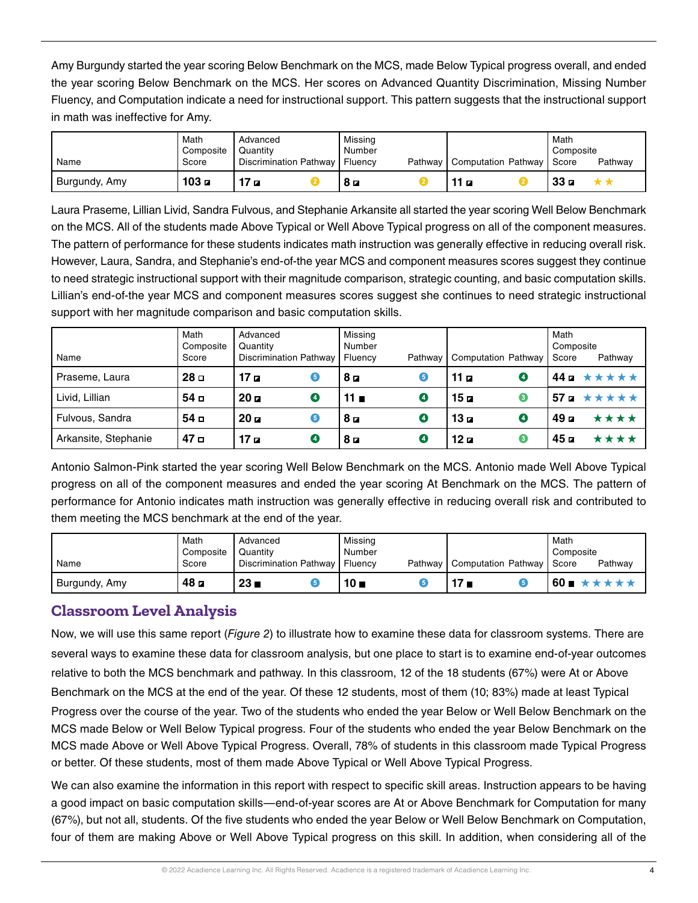Amy Burgundy started the year scoring Below Benchmark on the MCS, made Below Typical progress overall, and ended the year scoring Below Benchmark on the MCS. Her scores on Advanced Quantity Discrimination, Missing Number Fluency, and Computation indicate a need for instructional support. This pattern suggests that the instructional support in math was ineffective for Amy.

| Name          | Math<br>Composite<br>Score | Advanced<br>Quantity<br>Discrimination Pathway | Missina<br>Number<br>Fluency | Pathway   Computation Pathway   Score | Math<br>Composite<br>Pathway |
|---------------|----------------------------|------------------------------------------------|------------------------------|---------------------------------------|------------------------------|
| Burgundy, Amy | 103a                       | 17a                                            | 8 d                          | $\overline{z}$                        | 33n                          |

Laura Praseme, Lillian Livid, Sandra Fulvous, and Stephanie Arkansite all started the year scoring Well Below Benchmark on the MCS. All of the students made Above Typical or Well Above Typical progress on all of the component measures. The pattern of performance for these students indicates math instruction was generally effective in reducing overall risk. However, Laura, Sandra, and Stephanie's end-of-the year MCS and component measures scores suggest they continue to need strategic instructional support with their magnitude comparison, strategic counting, and basic computation skills. Lillian's end-of-the year MCS and component measures scores suggest she continues to need strategic instructional support with her magnitude comparison and basic computation skills.

| Name                 | Math<br>Composite<br>Score | Advanced<br>Quantity<br>Discrimination Pathway   Fluency |   | Missing<br>Number |                | Pathway   Computation Pathway |           | Math<br>Composite<br>Score | Pathway                                |
|----------------------|----------------------------|----------------------------------------------------------|---|-------------------|----------------|-------------------------------|-----------|----------------------------|----------------------------------------|
| Praseme, Laura       | 28 <sub>II</sub>           | 17a                                                      | 6 | 8                 | 6              | 11 $\sigma$                   | $\bullet$ |                            | $44 \mu \star \star \star \star \star$ |
| Livid, Lillian       | 54 <sub>0</sub>            | 20a                                                      | 0 | 11 $\blacksquare$ | Ø              | 15a                           | ❸         |                            | 57 $\bf{z}$ * * * * *                  |
| Fulvous, Sandra      | 54 <sub>0</sub>            | 20a                                                      | 6 | 8                 | $\bullet$      | 13 п                          | ❹         | 49 с                       | ****                                   |
| Arkansite, Stephanie | 47 <sub>0</sub>            | 17a                                                      | Ø | 8a                | $\overline{a}$ | 12 <b>a</b>                   | ❸         | 45 <b>a</b>                | ****                                   |

Antonio Salmon-Pink started the year scoring Well Below Benchmark on the MCS. Antonio made Well Above Typical progress on all of the component measures and ended the year scoring At Benchmark on the MCS. The pattern of performance for Antonio indicates math instruction was generally effective in reducing overall risk and contributed to them meeting the MCS benchmark at the end of the year.

|               | Math<br>Composite | Advanced<br>Quantity   | Missing<br>Number  |                             | Math<br>Composite |
|---------------|-------------------|------------------------|--------------------|-----------------------------|-------------------|
| Name          | Score             | Discrimination Pathway | Fluency<br>Pathway | Computation Pathway   Score | Pathway           |
| Burgundy, Amy | 48 <b>z</b>       | 23 <sub>h</sub>        | 10 <sub>II</sub>   | 7∎                          | 60∎               |

## **Classroom Level Analysis**

Now, we will use this same report (*Figure 2*) to illustrate how to examine these data for classroom systems. There are several ways to examine these data for classroom analysis, but one place to start is to examine end-of-year outcomes relative to both the MCS benchmark and pathway. In this classroom, 12 of the 18 students (67%) were At or Above Benchmark on the MCS at the end of the year. Of these 12 students, most of them (10; 83%) made at least Typical Progress over the course of the year. Two of the students who ended the year Below or Well Below Benchmark on the MCS made Below or Well Below Typical progress. Four of the students who ended the year Below Benchmark on the MCS made Above or Well Above Typical Progress. Overall, 78% of students in this classroom made Typical Progress or better. Of these students, most of them made Above Typical or Well Above Typical Progress.

We can also examine the information in this report with respect to specific skill areas. Instruction appears to be having a good impact on basic computation skills—end-of-year scores are At or Above Benchmark for Computation for many (67%), but not all, students. Of the five students who ended the year Below or Well Below Benchmark on Computation, four of them are making Above or Well Above Typical progress on this skill. In addition, when considering all of the